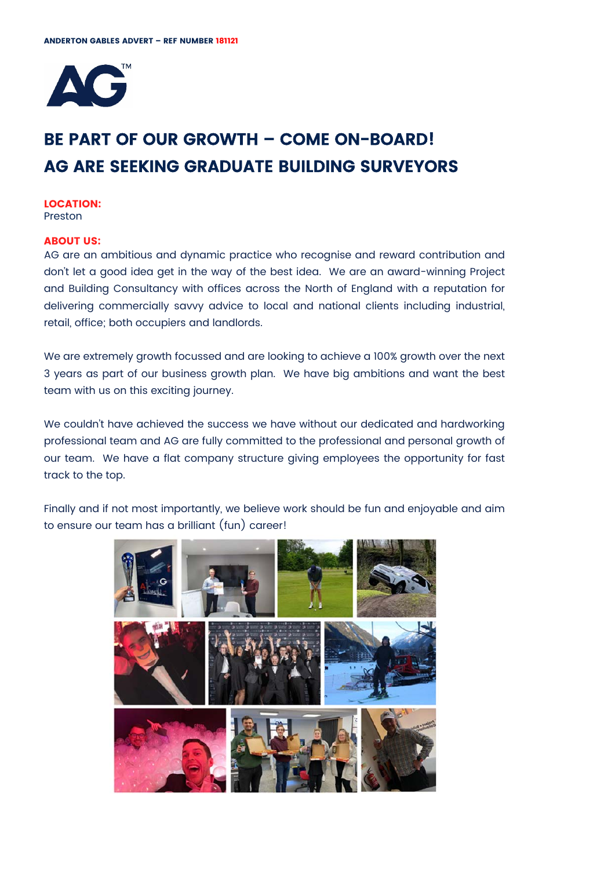

# **BE PART OF OUR GROWTH – COME ON-BOARD! AG ARE SEEKING GRADUATE BUILDING SURVEYORS**

#### **LOCATION:**  Preston

# **ABOUT US:**

AG are an ambitious and dynamic practice who recognise and reward contribution and don't let a good idea get in the way of the best idea. We are an award-winning Project and Building Consultancy with offices across the North of England with a reputation for delivering commercially savvy advice to local and national clients including industrial, retail, office; both occupiers and landlords.

We are extremely growth focussed and are looking to achieve a 100% growth over the next 3 years as part of our business growth plan. We have big ambitions and want the best team with us on this exciting journey.

We couldn't have achieved the success we have without our dedicated and hardworking professional team and AG are fully committed to the professional and personal growth of our team. We have a flat company structure giving employees the opportunity for fast track to the top.

Finally and if not most importantly, we believe work should be fun and enjoyable and aim to ensure our team has a brilliant (fun) career!

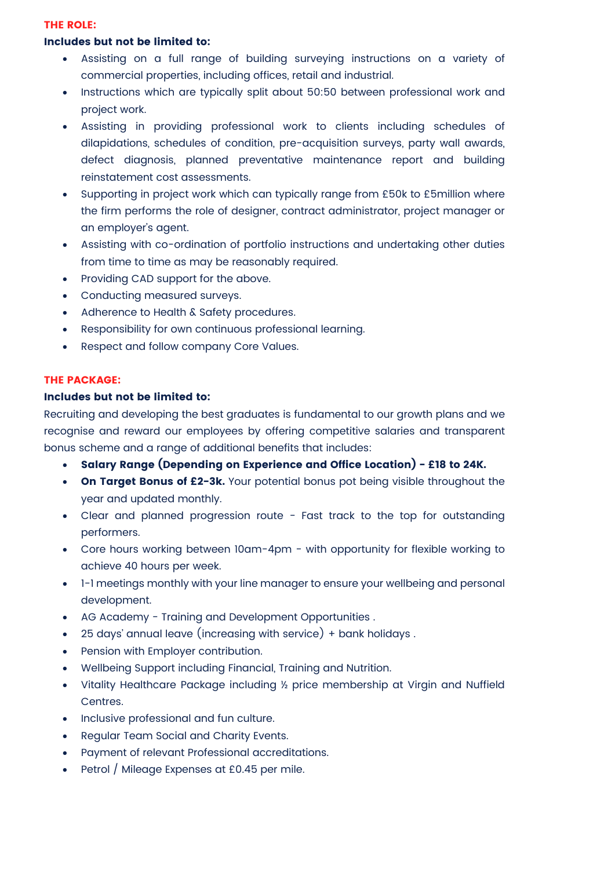#### **THE ROLE:**

# **Includes but not be limited to:**

- Assisting on a full range of building surveying instructions on a variety of commercial properties, including offices, retail and industrial.
- Instructions which are typically split about 50:50 between professional work and project work.
- Assisting in providing professional work to clients including schedules of dilapidations, schedules of condition, pre-acquisition surveys, party wall awards, defect diagnosis, planned preventative maintenance report and building reinstatement cost assessments.
- Supporting in project work which can typically range from £50k to £5million where the firm performs the role of designer, contract administrator, project manager or an employer's agent.
- Assisting with co-ordination of portfolio instructions and undertaking other duties from time to time as may be reasonably required.
- Providing CAD support for the above.
- Conducting measured surveys.
- Adherence to Health & Safety procedures.
- Responsibility for own continuous professional learning.
- Respect and follow company Core Values.

# **THE PACKAGE:**

#### **Includes but not be limited to:**

Recruiting and developing the best graduates is fundamental to our growth plans and we recognise and reward our employees by offering competitive salaries and transparent bonus scheme and a range of additional benefits that includes:

- **Salary Range (Depending on Experience and Office Location) £18 to 24K.**
- **On Target Bonus of £2-3k.** Your potential bonus pot being visible throughout the year and updated monthly.
- Clear and planned progression route Fast track to the top for outstanding performers.
- Core hours working between 10am-4pm with opportunity for flexible working to achieve 40 hours per week.
- 1-1 meetings monthly with your line manager to ensure your wellbeing and personal development.
- AG Academy Training and Development Opportunities .
- 25 days' annual leave (increasing with service) + bank holidays .
- Pension with Employer contribution.
- Wellbeing Support including Financial, Training and Nutrition.
- Vitality Healthcare Package including ½ price membership at Virgin and Nuffield Centres.
- Inclusive professional and fun culture.
- Regular Team Social and Charity Events.
- Payment of relevant Professional accreditations.
- Petrol / Mileage Expenses at £0.45 per mile.